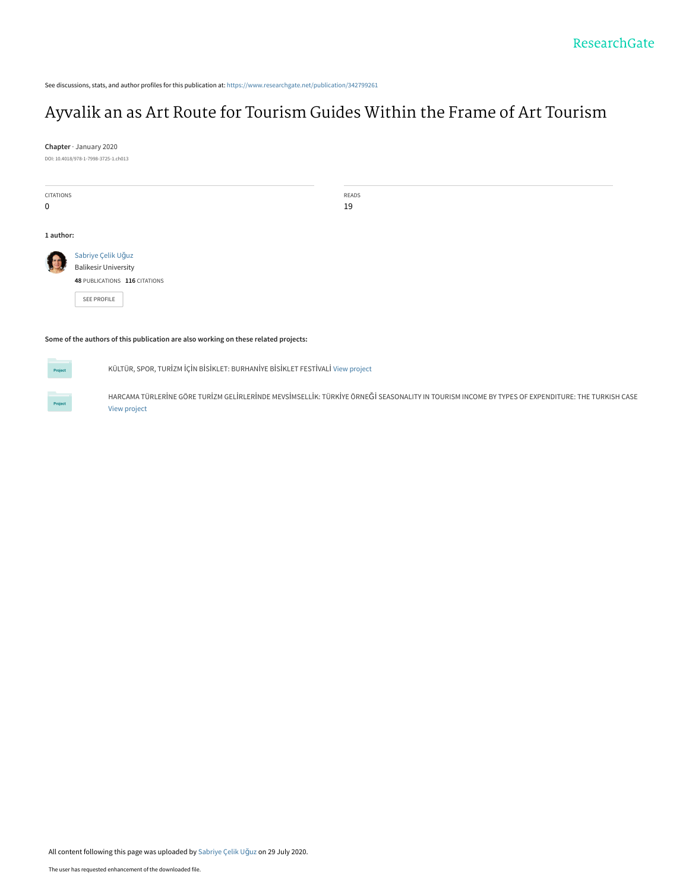See discussions, stats, and author profiles for this publication at: [https://www.researchgate.net/publication/342799261](https://www.researchgate.net/publication/342799261_Ayvalik_an_as_Art_Route_for_Tourism_Guides_Within_the_Frame_of_Art_Tourism?enrichId=rgreq-e7fbb32d3d8d810a97f269fc5e5fd5e1-XXX&enrichSource=Y292ZXJQYWdlOzM0Mjc5OTI2MTtBUzo5MTg1Nzg5MTIwMzg5MThAMTU5NjAxNzY4NzQwMA%3D%3D&el=1_x_2&_esc=publicationCoverPdf)

# [Ayvalik an as Art Route for Tourism Guides Within the Frame of Art Tourism](https://www.researchgate.net/publication/342799261_Ayvalik_an_as_Art_Route_for_Tourism_Guides_Within_the_Frame_of_Art_Tourism?enrichId=rgreq-e7fbb32d3d8d810a97f269fc5e5fd5e1-XXX&enrichSource=Y292ZXJQYWdlOzM0Mjc5OTI2MTtBUzo5MTg1Nzg5MTIwMzg5MThAMTU5NjAxNzY4NzQwMA%3D%3D&el=1_x_3&_esc=publicationCoverPdf)

**Chapter** · January 2020

DOI: 10.4018/978-1-7998-3725-1.ch013

| CITATIONS   |                                            | READS |
|-------------|--------------------------------------------|-------|
| $\mathbf 0$ |                                            | 19    |
|             |                                            |       |
|             |                                            |       |
|             |                                            |       |
| 1 author:   |                                            |       |
|             |                                            |       |
|             |                                            |       |
|             | Sabriye Çelik Uğuz<br>Balikesir University |       |
|             |                                            |       |
|             |                                            |       |
|             | 48 PUBLICATIONS 116 CITATIONS              |       |
|             |                                            |       |
|             | SEE PROFILE                                |       |
|             |                                            |       |
|             |                                            |       |
|             |                                            |       |
|             |                                            |       |

#### **Some of the authors of this publication are also working on these related projects:**

**Project** 

KÜLTÜR, SPOR, TURİZM İÇİN BİSİKLET: BURHANİYE BİSİKLET FESTİVALİ [View project](https://www.researchgate.net/project/KUeLTUeR-SPOR-TURIZM-ICIN-BISIKLET-BURHANIYE-BISIKLET-FESTIVALI?enrichId=rgreq-e7fbb32d3d8d810a97f269fc5e5fd5e1-XXX&enrichSource=Y292ZXJQYWdlOzM0Mjc5OTI2MTtBUzo5MTg1Nzg5MTIwMzg5MThAMTU5NjAxNzY4NzQwMA%3D%3D&el=1_x_9&_esc=publicationCoverPdf)

HARCAMA TÜRLERİNE GÖRE TURİZM GELİRLERİNDE MEVSİMSELLİK: TÜRKİYE ÖRNEĞİ SEASONALITY IN TOURISM INCOME BY TYPES OF EXPENDITURE: THE TURKISH CASE [View project](https://www.researchgate.net/project/HARCAMA-TUeRLERINE-GOeRE-TURIZM-GELIRLERINDE-MEVSIMSELLIK-TUeRKIYE-OeRNEGI-SEASONALITY-IN-TOURISM-INCOME-BY-TYPES-OF-EXPENDITURE-THE-TURKISH-CASE?enrichId=rgreq-e7fbb32d3d8d810a97f269fc5e5fd5e1-XXX&enrichSource=Y292ZXJQYWdlOzM0Mjc5OTI2MTtBUzo5MTg1Nzg5MTIwMzg5MThAMTU5NjAxNzY4NzQwMA%3D%3D&el=1_x_9&_esc=publicationCoverPdf)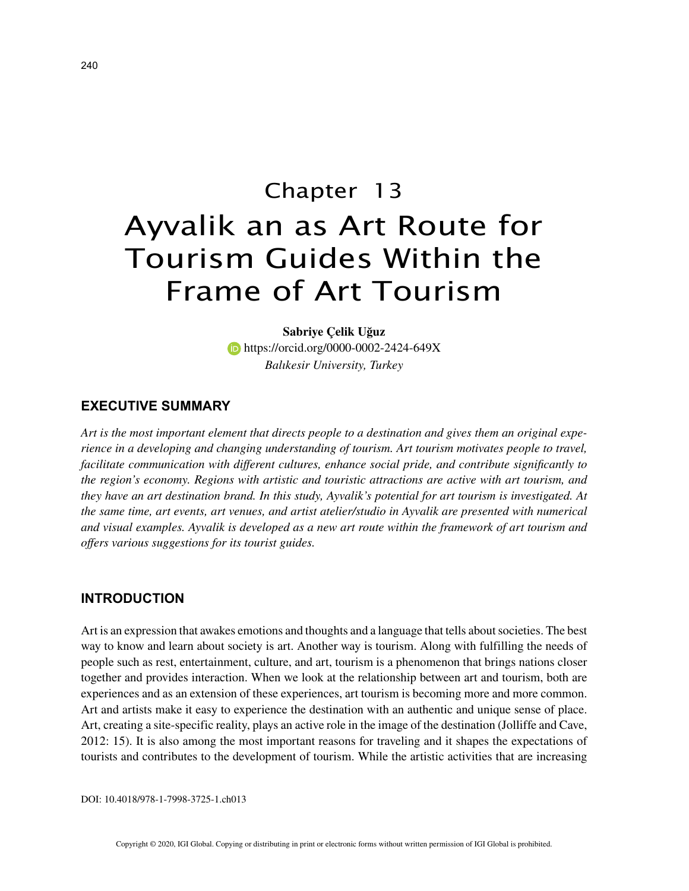# Chapter 13 Ayvalik an as Art Route for Tourism Guides Within the Frame of Art Tourism

**Sabriye Çelik Uğuz https://orcid.org/0000-0002-2424-649X** *Balıkesir University, Turkey*

#### **EXECUTIVE SUMMARY**

*Art is the most important element that directs people to a destination and gives them an original experience in a developing and changing understanding of tourism. Art tourism motivates people to travel, facilitate communication with different cultures, enhance social pride, and contribute significantly to the region's economy. Regions with artistic and touristic attractions are active with art tourism, and they have an art destination brand. In this study, Ayvalik's potential for art tourism is investigated. At the same time, art events, art venues, and artist atelier/studio in Ayvalik are presented with numerical and visual examples. Ayvalik is developed as a new art route within the framework of art tourism and offers various suggestions for its tourist guides.*

#### **INTRODUCTION**

Art is an expression that awakes emotions and thoughts and a language that tells about societies. The best way to know and learn about society is art. Another way is tourism. Along with fulfilling the needs of people such as rest, entertainment, culture, and art, tourism is a phenomenon that brings nations closer together and provides interaction. When we look at the relationship between art and tourism, both are experiences and as an extension of these experiences, art tourism is becoming more and more common. Art and artists make it easy to experience the destination with an authentic and unique sense of place. Art, creating a site-specific reality, plays an active role in the image of the destination (Jolliffe and Cave, 2012: 15). It is also among the most important reasons for traveling and it shapes the expectations of tourists and contributes to the development of tourism. While the artistic activities that are increasing

DOI: 10.4018/978-1-7998-3725-1.ch013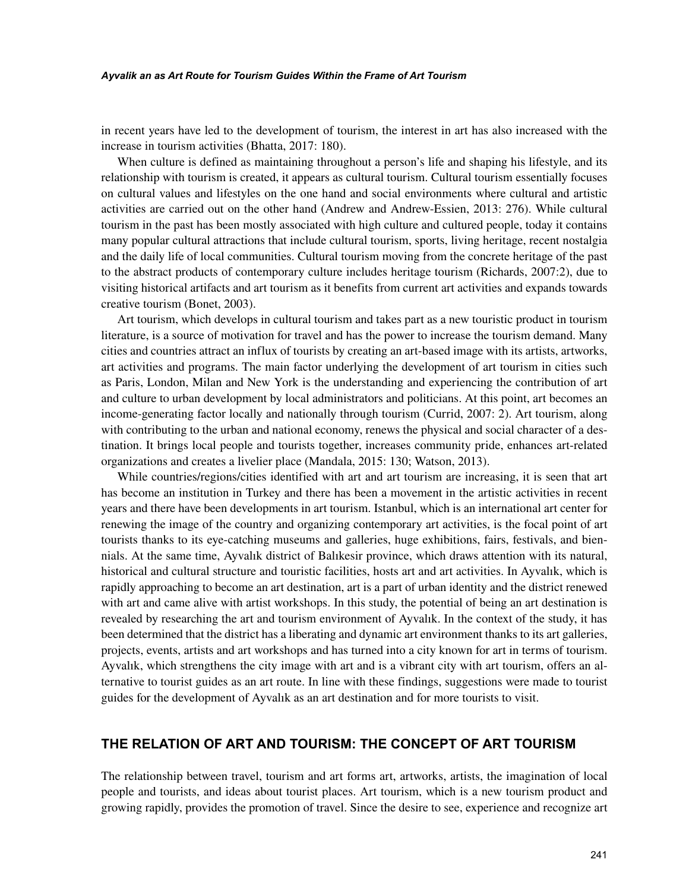#### *Ayvalik an as Art Route for Tourism Guides Within the Frame of Art Tourism*

in recent years have led to the development of tourism, the interest in art has also increased with the increase in tourism activities (Bhatta, 2017: 180).

When culture is defined as maintaining throughout a person's life and shaping his lifestyle, and its relationship with tourism is created, it appears as cultural tourism. Cultural tourism essentially focuses on cultural values and lifestyles on the one hand and social environments where cultural and artistic activities are carried out on the other hand (Andrew and Andrew-Essien, 2013: 276). While cultural tourism in the past has been mostly associated with high culture and cultured people, today it contains many popular cultural attractions that include cultural tourism, sports, living heritage, recent nostalgia and the daily life of local communities. Cultural tourism moving from the concrete heritage of the past to the abstract products of contemporary culture includes heritage tourism (Richards, 2007:2), due to visiting historical artifacts and art tourism as it benefits from current art activities and expands towards creative tourism (Bonet, 2003).

Art tourism, which develops in cultural tourism and takes part as a new touristic product in tourism literature, is a source of motivation for travel and has the power to increase the tourism demand. Many cities and countries attract an influx of tourists by creating an art-based image with its artists, artworks, art activities and programs. The main factor underlying the development of art tourism in cities such as Paris, London, Milan and New York is the understanding and experiencing the contribution of art and culture to urban development by local administrators and politicians. At this point, art becomes an income-generating factor locally and nationally through tourism (Currid, 2007: 2). Art tourism, along with contributing to the urban and national economy, renews the physical and social character of a destination. It brings local people and tourists together, increases community pride, enhances art-related organizations and creates a livelier place (Mandala, 2015: 130; Watson, 2013).

While countries/regions/cities identified with art and art tourism are increasing, it is seen that art has become an institution in Turkey and there has been a movement in the artistic activities in recent years and there have been developments in art tourism. Istanbul, which is an international art center for renewing the image of the country and organizing contemporary art activities, is the focal point of art tourists thanks to its eye-catching museums and galleries, huge exhibitions, fairs, festivals, and biennials. At the same time, Ayvalık district of Balıkesir province, which draws attention with its natural, historical and cultural structure and touristic facilities, hosts art and art activities. In Ayvalık, which is rapidly approaching to become an art destination, art is a part of urban identity and the district renewed with art and came alive with artist workshops. In this study, the potential of being an art destination is revealed by researching the art and tourism environment of Ayvalık. In the context of the study, it has been determined that the district has a liberating and dynamic art environment thanks to its art galleries, projects, events, artists and art workshops and has turned into a city known for art in terms of tourism. Ayvalık, which strengthens the city image with art and is a vibrant city with art tourism, offers an alternative to tourist guides as an art route. In line with these findings, suggestions were made to tourist guides for the development of Ayvalık as an art destination and for more tourists to visit.

### **THE RELATION OF ART AND TOURISM: THE CONCEPT OF ART TOURISM**

The relationship between travel, tourism and art forms art, artworks, artists, the imagination of local people and tourists, and ideas about tourist places. Art tourism, which is a new tourism product and growing rapidly, provides the promotion of travel. Since the desire to see, experience and recognize art